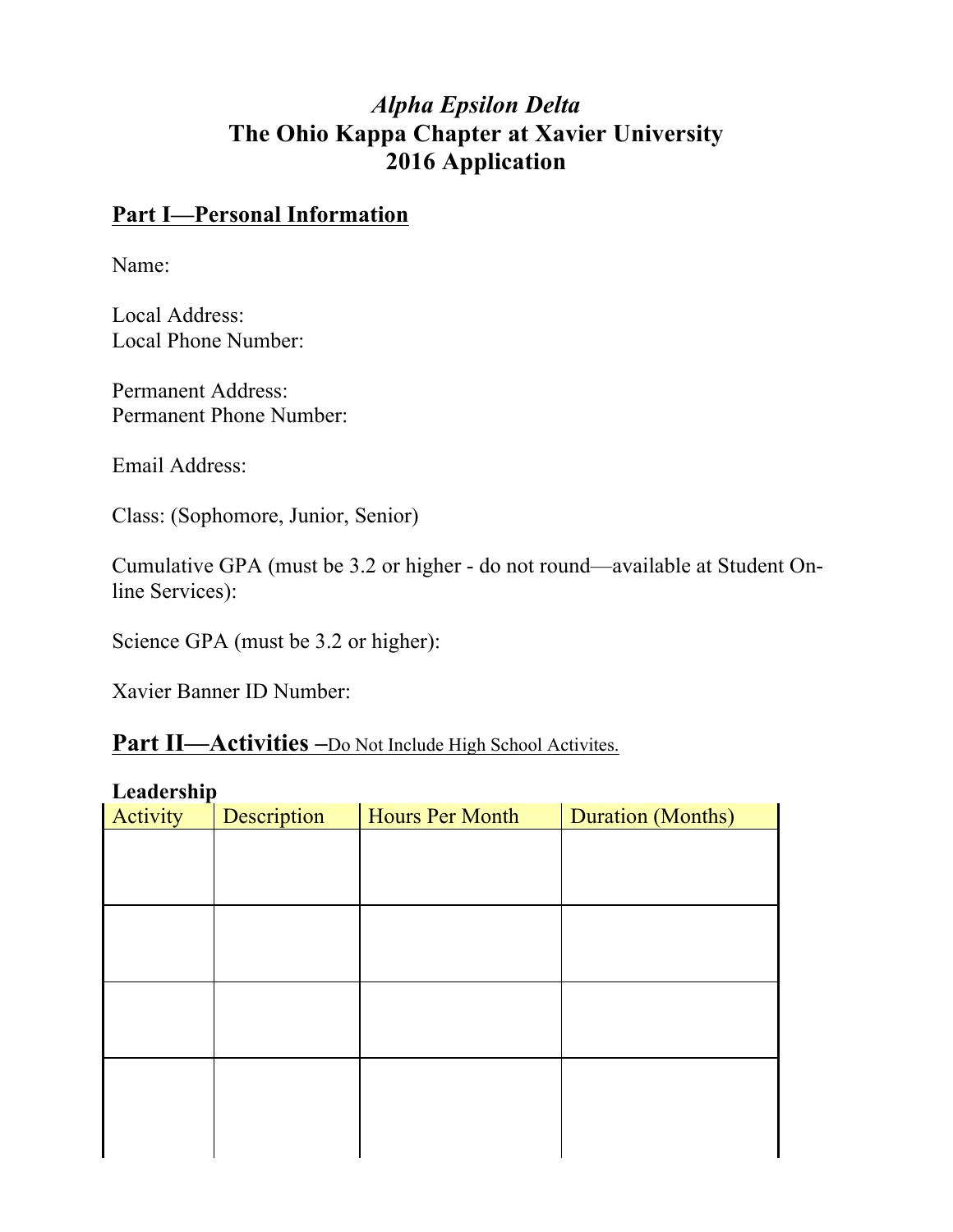# *Alpha Epsilon Delta* **The Ohio Kappa Chapter at Xavier University 2016 Application**

#### **Part I—Personal Information**

Name:

Local Address: Local Phone Number:

Permanent Address: Permanent Phone Number:

Email Address:

Class: (Sophomore, Junior, Senior)

Cumulative GPA (must be 3.2 or higher - do not round—available at Student Online Services):

Science GPA (must be 3.2 or higher):

Xavier Banner ID Number:

#### **Part II—Activities –**Do Not Include High School Activites.

#### **Leadership**

| планет энгр<br>Activity | Description | Hours Per Month | <b>Duration (Months)</b> |
|-------------------------|-------------|-----------------|--------------------------|
|                         |             |                 |                          |
|                         |             |                 |                          |
|                         |             |                 |                          |
|                         |             |                 |                          |
|                         |             |                 |                          |
|                         |             |                 |                          |
|                         |             |                 |                          |
|                         |             |                 |                          |
|                         |             |                 |                          |
|                         |             |                 |                          |
|                         |             |                 |                          |
|                         |             |                 |                          |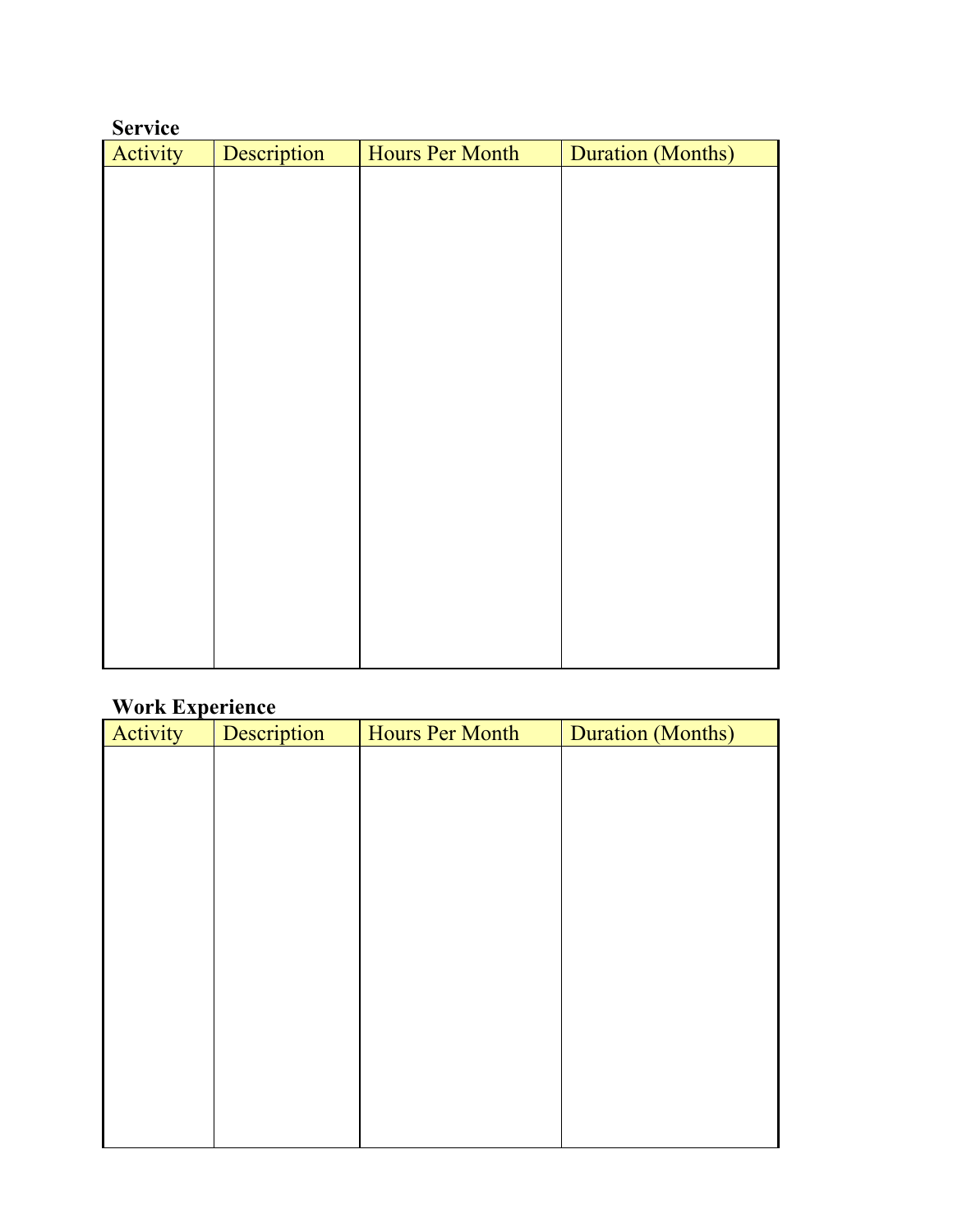| <b>Service</b> |             |                        |                          |
|----------------|-------------|------------------------|--------------------------|
| Activity       | Description | <b>Hours Per Month</b> | <b>Duration (Months)</b> |
|                |             |                        |                          |
|                |             |                        |                          |
|                |             |                        |                          |
|                |             |                        |                          |
|                |             |                        |                          |
|                |             |                        |                          |
|                |             |                        |                          |
|                |             |                        |                          |
|                |             |                        |                          |
|                |             |                        |                          |
|                |             |                        |                          |
|                |             |                        |                          |
|                |             |                        |                          |
|                |             |                        |                          |
|                |             |                        |                          |
|                |             |                        |                          |
|                |             |                        |                          |
|                |             |                        |                          |
|                |             |                        |                          |
|                |             |                        |                          |

## **Work Experience**

| л.<br>Activity | Description | Hours Per Month | <b>Duration (Months)</b> |
|----------------|-------------|-----------------|--------------------------|
|                |             |                 |                          |
|                |             |                 |                          |
|                |             |                 |                          |
|                |             |                 |                          |
|                |             |                 |                          |
|                |             |                 |                          |
|                |             |                 |                          |
|                |             |                 |                          |
|                |             |                 |                          |
|                |             |                 |                          |
|                |             |                 |                          |
|                |             |                 |                          |
|                |             |                 |                          |
|                |             |                 |                          |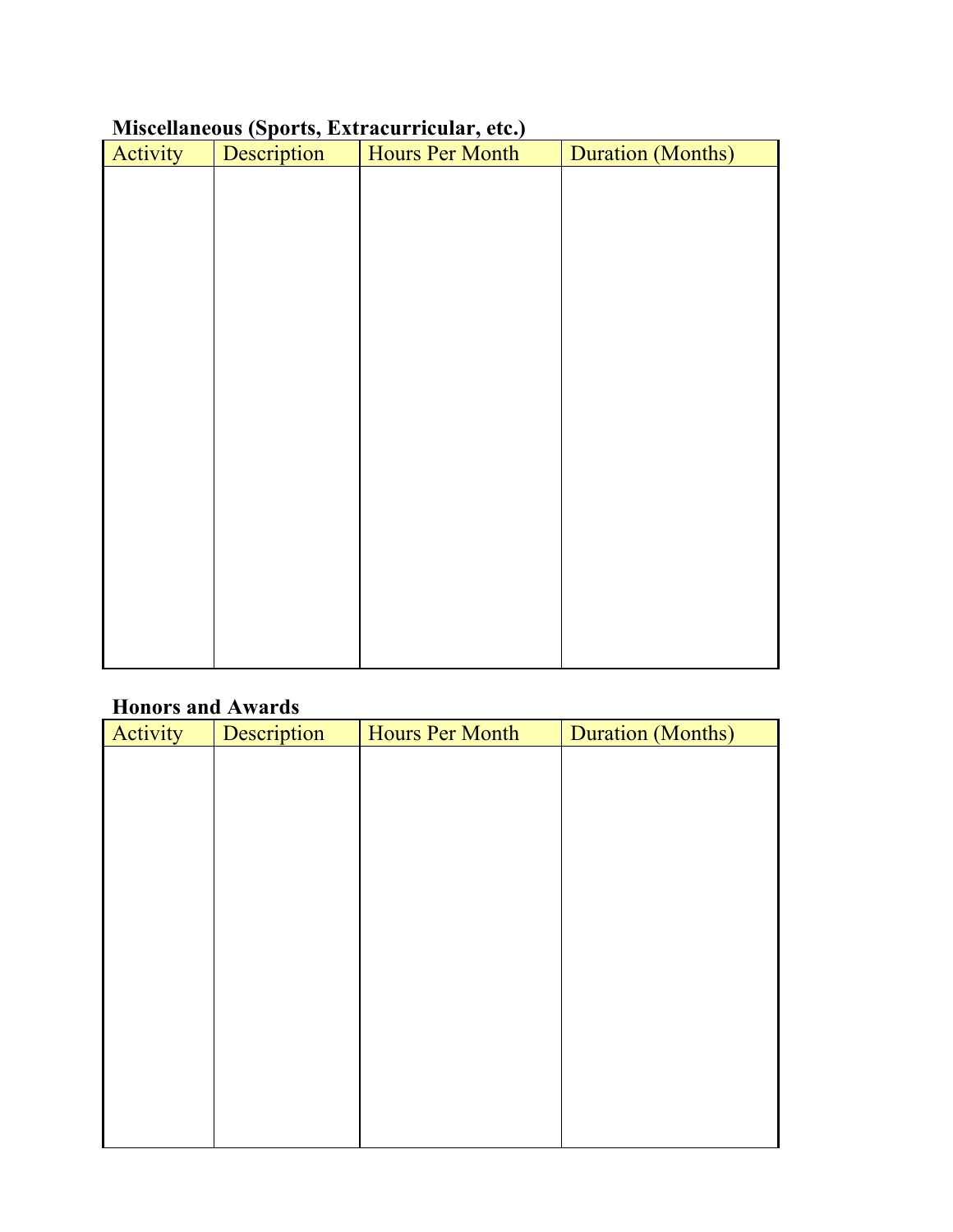## **Miscellaneous (Sports, Extracurricular, etc.)**

| Activity | $\overline{\phantom{a}}$<br>Description | - - - - -<br>Hours Per Month | <b>Duration (Months)</b> |
|----------|-----------------------------------------|------------------------------|--------------------------|
|          |                                         |                              |                          |
|          |                                         |                              |                          |
|          |                                         |                              |                          |
|          |                                         |                              |                          |
|          |                                         |                              |                          |
|          |                                         |                              |                          |
|          |                                         |                              |                          |
|          |                                         |                              |                          |
|          |                                         |                              |                          |
|          |                                         |                              |                          |
|          |                                         |                              |                          |
|          |                                         |                              |                          |
|          |                                         |                              |                          |
|          |                                         |                              |                          |
|          |                                         |                              |                          |
|          |                                         |                              |                          |
|          |                                         |                              |                          |
|          |                                         |                              |                          |

## **Honors and Awards**

| Activity | Description | Hours Per Month | <b>Duration (Months)</b> |
|----------|-------------|-----------------|--------------------------|
|          |             |                 |                          |
|          |             |                 |                          |
|          |             |                 |                          |
|          |             |                 |                          |
|          |             |                 |                          |
|          |             |                 |                          |
|          |             |                 |                          |
|          |             |                 |                          |
|          |             |                 |                          |
|          |             |                 |                          |
|          |             |                 |                          |
|          |             |                 |                          |
|          |             |                 |                          |
|          |             |                 |                          |